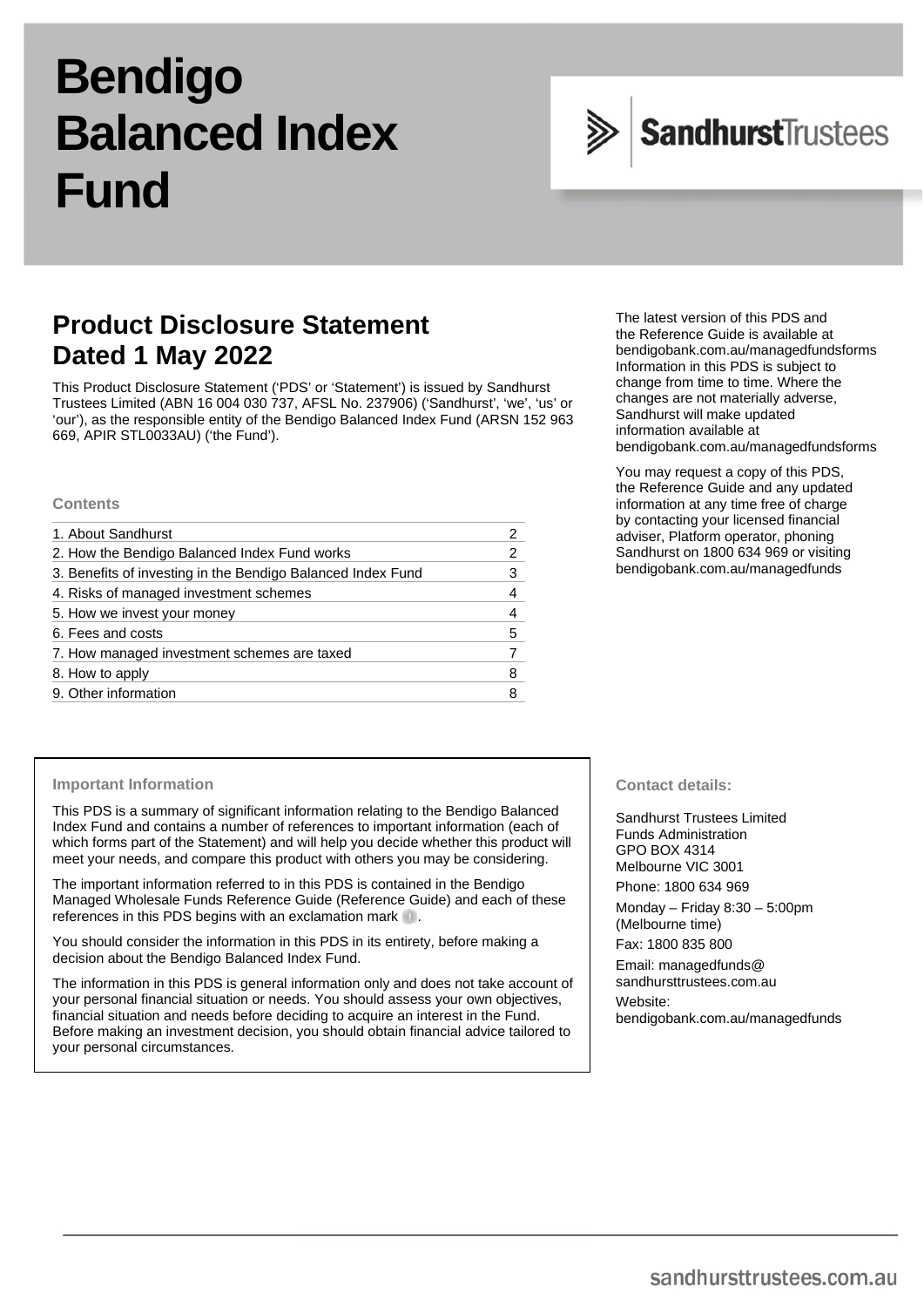# **Bendigo Balanced Index Fund**



# **Product Disclosure Statement Dated 1 May 2022**

This Product Disclosure Statement ('PDS' or 'Statement') is issued by Sandhurst Trustees Limited (ABN 16 004 030 737, AFSL No. 237906) ('Sandhurst', 'we', 'us' or 'our'), as the responsible entity of the Bendigo Balanced Index Fund (ARSN 152 963 669, APIR STL0033AU) ('the Fund').

### **Contents**

| 1. About Sandhurst                                          |   |
|-------------------------------------------------------------|---|
| 2. How the Bendigo Balanced Index Fund works                | 2 |
| 3. Benefits of investing in the Bendigo Balanced Index Fund |   |
| 4. Risks of managed investment schemes                      | 4 |
| 5. How we invest your money                                 |   |
| 6. Fees and costs                                           | 5 |
| 7. How managed investment schemes are taxed                 |   |
| 8. How to apply                                             | 8 |
| 9. Other information                                        |   |

The latest version of this PDS and the Reference Guide is available at [bendigobank.com.au/managedfundsforms](https://www.bendigobank.com.au/managedfundsforms/) Information in this PDS is subject to change from time to time. Where the changes are not materially adverse, Sandhurst will make updated information available at [bendigobank.com.au/managedfundsf](https://www.bendigobank.com.au/managedfundsforms/)orms

You may request a copy of this PDS, the Reference Guide and any updated information at any time free of charge by contacting your licensed financial adviser, Platform operator, phoning Sandhurst on 1800 634 969 or visiting [bendigobank.com.au/managedfunds](https://www.bendigobank.com.au/managedfundsforms/)

#### **Important Information**

This PDS is a summary of significant information relating to the Bendigo Balanced Index Fund and contains a number of references to important information (each of which forms part of the Statement) and will help you decide whether this product will meet your needs, and compare this product with others you may be considering.

The important information referred to in this PDS is contained in the Bendigo Managed Wholesale Funds Reference Guide (Reference Guide) and each of these references in this PDS begins with an exclamation mark .

You should consider the information in this PDS in its entirety, before making a decision about the Bendigo Balanced Index Fund.

The information in this PDS is general information only and does not take account of your personal financial situation or needs. You should assess your own objectives, financial situation and needs before deciding to acquire an interest in the Fund. Before making an investment decision, you should obtain financial advice tailored to your personal circumstances.

### **Contact details:**

Sandhurst Trustees Limited Funds Administration GPO BOX 4314 Melbourne VIC 3001 Phone: 1800 634 969

Monday – Friday 8:30 – 5:00pm (Melbourne time)

Fax: 1800 835 800

Email[: managedfunds@](mailto:managedfunds@sandhursttrustees.com.au)  [sandhursttrustees.com.au](mailto:managedfunds@sandhursttrustees.com.au) Website: [bendigobank.com.au/managedfunds](https://bendigobank.com.au/managedfundsforms)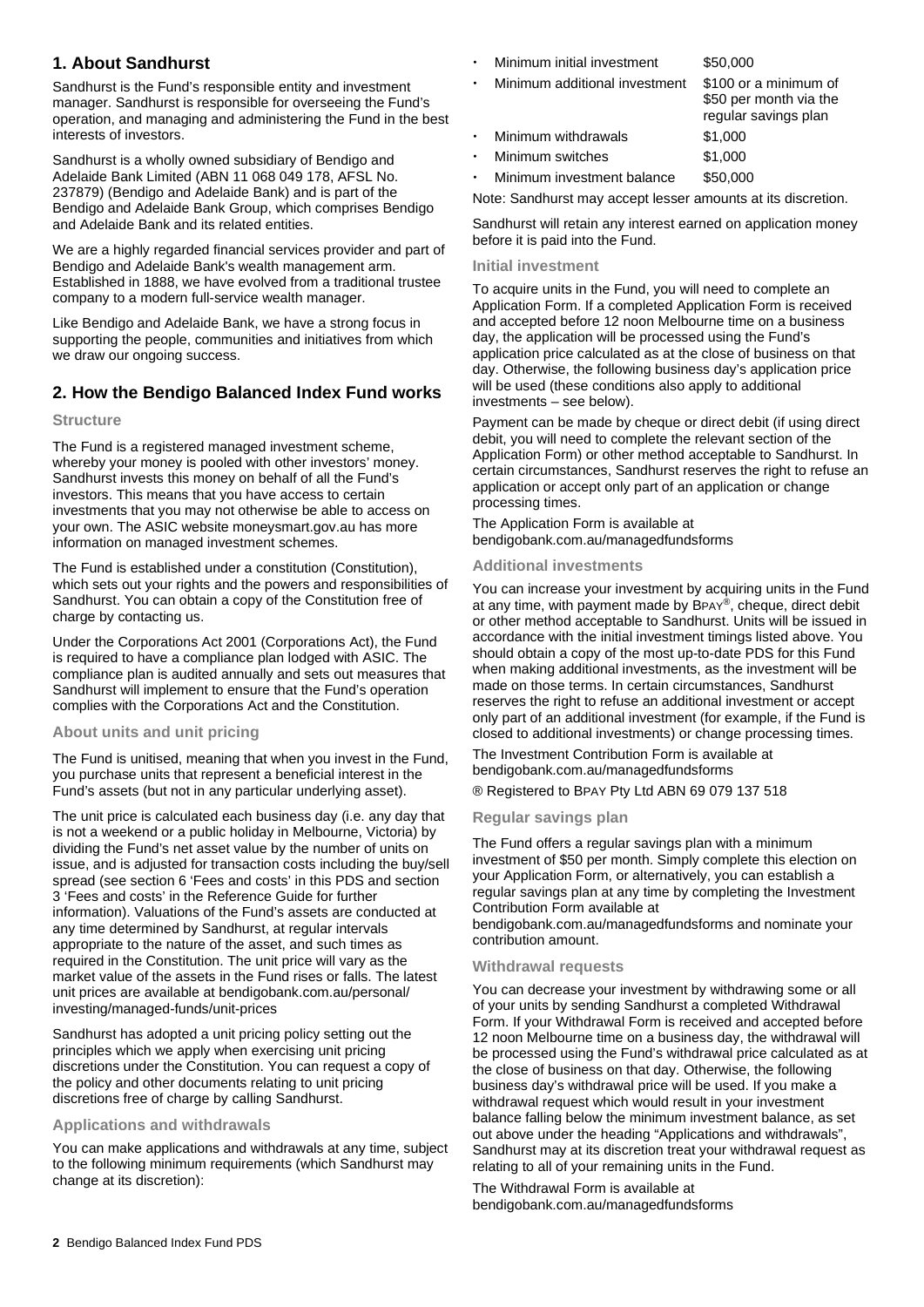# **1. About Sandhurst**

Sandhurst is the Fund's responsible entity and investment manager. Sandhurst is responsible for overseeing the Fund's operation, and managing and administering the Fund in the best interests of investors.

Sandhurst is a wholly owned subsidiary of Bendigo and Adelaide Bank Limited (ABN 11 068 049 178, AFSL No. 237879) (Bendigo and Adelaide Bank) and is part of the Bendigo and Adelaide Bank Group, which comprises Bendigo and Adelaide Bank and its related entities.

We are a highly regarded financial services provider and part of Bendigo and Adelaide Bank's wealth management arm. Established in 1888, we have evolved from a traditional trustee company to a modern full-service wealth manager.

Like Bendigo and Adelaide Bank, we have a strong focus in supporting the people, communities and initiatives from which we draw our ongoing success.

# **2. How the Bendigo Balanced Index Fund works**

### **Structure**

The Fund is a registered managed investment scheme, whereby your money is pooled with other investors' money. Sandhurst invests this money on behalf of all the Fund's investors. This means that you have access to certain investments that you may not otherwise be able to access on your own. The ASIC website [moneysmart.gov.au](https://www.moneysmart.gov.au/) has more information on managed investment schemes.

The Fund is established under a constitution (Constitution), which sets out your rights and the powers and responsibilities of Sandhurst. You can obtain a copy of the Constitution free of charge by contacting us.

Under the Corporations Act 2001 (Corporations Act), the Fund is required to have a compliance plan lodged with ASIC. The compliance plan is audited annually and sets out measures that Sandhurst will implement to ensure that the Fund's operation complies with the Corporations Act and the Constitution.

### **About units and unit pricing**

The Fund is unitised, meaning that when you invest in the Fund, you purchase units that represent a beneficial interest in the Fund's assets (but not in any particular underlying asset).

The unit price is calculated each business day (i.e. any day that is not a weekend or a public holiday in Melbourne, Victoria) by dividing the Fund's net asset value by the number of units on issue, and is adjusted for transaction costs including the buy/sell spread (see section 6 'Fees and costs' in this PDS and section 3 'Fees and costs' in the Reference Guide for further information). Valuations of the Fund's assets are conducted at any time determined by Sandhurst, at regular intervals appropriate to the nature of the asset, and such times as required in the Constitution. The unit price will vary as the market value of the assets in the Fund rises or falls. The latest unit prices are available at [bendigobank.com.au/personal/](https://bendigobank.com.au/personal/investing/managed-funds/unit-prices)  [investing/managed-funds/unit-prices](https://bendigobank.com.au/personal/investing/managed-funds/unit-prices) 

Sandhurst has adopted a unit pricing policy setting out the principles which we apply when exercising unit pricing discretions under the Constitution. You can request a copy of the policy and other documents relating to unit pricing discretions free of charge by calling Sandhurst.

### **Applications and withdrawals**

You can make applications and withdrawals at any time, subject to the following minimum requirements (which Sandhurst may change at its discretion):

- Minimum initial investment \$50,000
	- Minimum additional investment \$100 or a minimum of \$50 per month via the regular savings plan Minimum withdrawals \$1,000
- Minimum switches \$1,000

Minimum investment balance \$50,000

Note: Sandhurst may accept lesser amounts at its discretion.

Sandhurst will retain any interest earned on application money before it is paid into the Fund.

### **Initial investment**

To acquire units in the Fund, you will need to complete an Application Form. If a completed Application Form is received and accepted before 12 noon Melbourne time on a business day, the application will be processed using the Fund's application price calculated as at the close of business on that day. Otherwise, the following business day's application price will be used (these conditions also apply to additional investments – see below).

Payment can be made by cheque or direct debit (if using direct debit, you will need to complete the relevant section of the Application Form) or other method acceptable to Sandhurst. In certain circumstances, Sandhurst reserves the right to refuse an application or accept only part of an application or change processing times.

The Application Form is available at [bendigobank.com.au/managedfundsf](https://bendigobank.com.au/managedfundsforms)orms

### **Additional investments**

You can increase your investment by acquiring units in the Fund at any time, with payment made by BPAY®, cheque, direct debit or other method acceptable to Sandhurst. Units will be issued in accordance with the initial investment timings listed above. You should obtain a copy of the most up-to-date PDS for this Fund when making additional investments, as the investment will be made on those terms. In certain circumstances, Sandhurst reserves the right to refuse an additional investment or accept only part of an additional investment (for example, if the Fund is closed to additional investments) or change processing times.

The Investment Contribution Form is available at [bendigobank.com.au/managedfundsf](https://bendigobank.com.au/managedfundsforms)orms

® Registered to BPAY Pty Ltd ABN 69 079 137 518

### **Regular savings plan**

The Fund offers a regular savings plan with a minimum investment of \$50 per month. Simply complete this election on your Application Form, or alternatively, you can establish a regular savings plan at any time by completing the Investment Contribution Form available at

[bendigobank.com.au/managedfundsf](https://bendigobank.com.au/managedfundsforms)orms and nominate your contribution amount.

### **Withdrawal requests**

You can decrease your investment by withdrawing some or all of your units by sending Sandhurst a completed Withdrawal Form. If your Withdrawal Form is received and accepted before 12 noon Melbourne time on a business day, the withdrawal will be processed using the Fund's withdrawal price calculated as at the close of business on that day. Otherwise, the following business day's withdrawal price will be used. If you make a withdrawal request which would result in your investment balance falling below the minimum investment balance, as set out above under the heading "Applications and withdrawals", Sandhurst may at its discretion treat your withdrawal request as relating to all of your remaining units in the Fund.

The Withdrawal Form is available at [bendigobank.com.au/managedfundsf](https://bendigobank.com.au/managedfundsforms)orms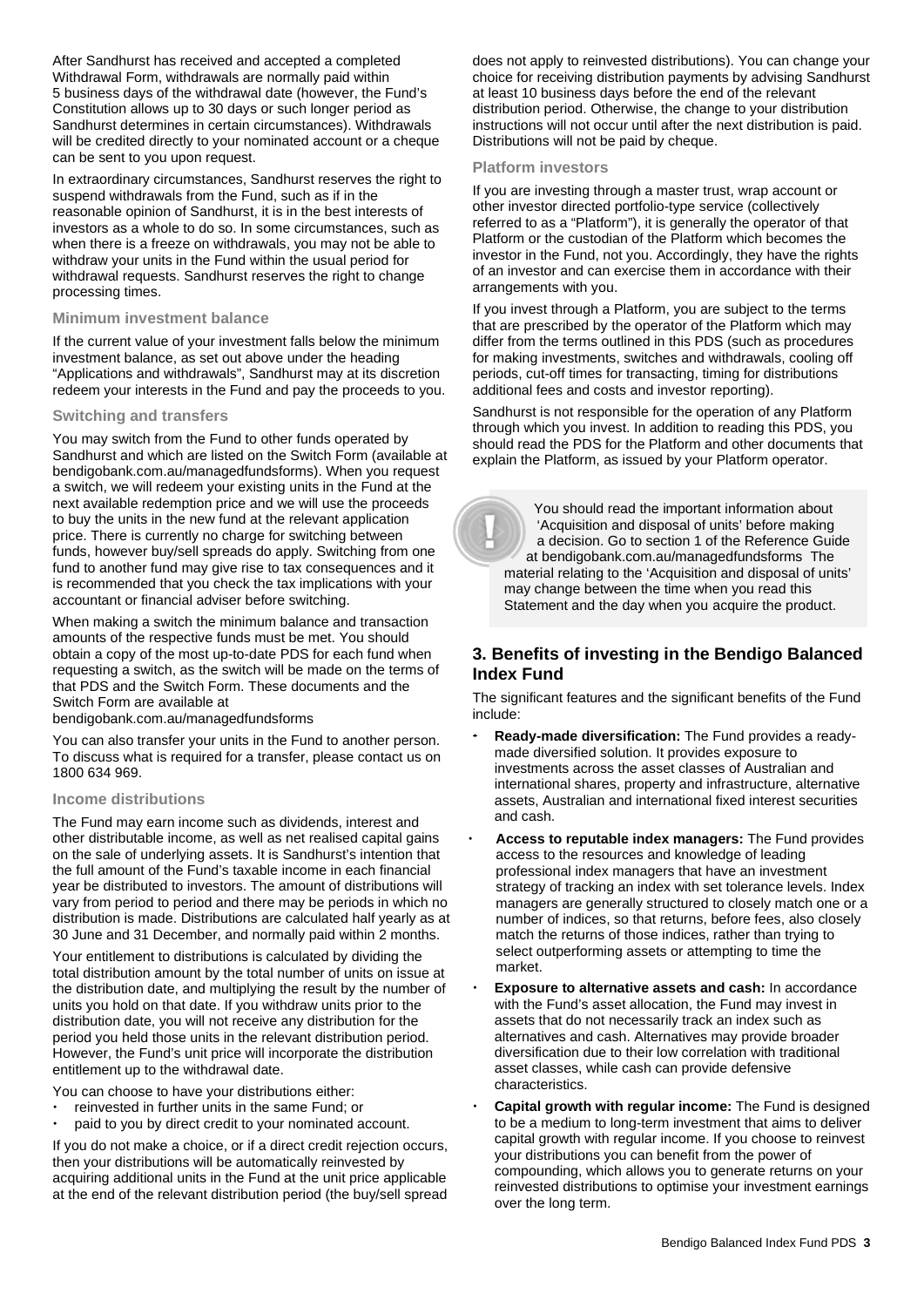After Sandhurst has received and accepted a completed Withdrawal Form, withdrawals are normally paid within 5 business days of the withdrawal date (however, the Fund's Constitution allows up to 30 days or such longer period as Sandhurst determines in certain circumstances). Withdrawals will be credited directly to your nominated account or a cheque can be sent to you upon request.

In extraordinary circumstances, Sandhurst reserves the right to suspend withdrawals from the Fund, such as if in the reasonable opinion of Sandhurst, it is in the best interests of investors as a whole to do so. In some circumstances, such as when there is a freeze on withdrawals, you may not be able to withdraw your units in the Fund within the usual period for withdrawal requests. Sandhurst reserves the right to change processing times.

### **Minimum investment balance**

If the current value of your investment falls below the minimum investment balance, as set out above under the heading "Applications and withdrawals", Sandhurst may at its discretion redeem your interests in the Fund and pay the proceeds to you.

### **Switching and transfers**

You may switch from the Fund to other funds operated by Sandhurst and which are listed on the Switch Form (available at [bendigobank.com.au/managedfundsf](https://bendigobank.com.au/managedfundsforms)orms). When you request a switch, we will redeem your existing units in the Fund at the next available redemption price and we will use the proceeds to buy the units in the new fund at the relevant application price. There is currently no charge for switching between funds, however buy/sell spreads do apply. Switching from one fund to another fund may give rise to tax consequences and it is recommended that you check the tax implications with your accountant or financial adviser before switching.

When making a switch the minimum balance and transaction amounts of the respective funds must be met. You should obtain a copy of the most up-to-date PDS for each fund when requesting a switch, as the switch will be made on the terms of that PDS and the Switch Form. These documents and the Switch Form are available at

[bendigobank.com.au/managedfundsf](https://bendigobank.com.au/managedfundsforms)orms

You can also transfer your units in the Fund to another person. To discuss what is required for a transfer, please contact us on 1800 634 969.

#### **Income distributions**

The Fund may earn income such as dividends, interest and other distributable income, as well as net realised capital gains on the sale of underlying assets. It is Sandhurst's intention that the full amount of the Fund's taxable income in each financial year be distributed to investors. The amount of distributions will vary from period to period and there may be periods in which no distribution is made. Distributions are calculated half yearly as at 30 June and 31 December, and normally paid within 2 months.

Your entitlement to distributions is calculated by dividing the total distribution amount by the total number of units on issue at the distribution date, and multiplying the result by the number of units you hold on that date. If you withdraw units prior to the distribution date, you will not receive any distribution for the period you held those units in the relevant distribution period. However, the Fund's unit price will incorporate the distribution entitlement up to the withdrawal date.

You can choose to have your distributions either:

- reinvested in further units in the same Fund; or
- paid to you by direct credit to your nominated account.

If you do not make a choice, or if a direct credit rejection occurs, then your distributions will be automatically reinvested by acquiring additional units in the Fund at the unit price applicable at the end of the relevant distribution period (the buy/sell spread does not apply to reinvested distributions). You can change your choice for receiving distribution payments by advising Sandhurst at least 10 business days before the end of the relevant distribution period. Otherwise, the change to your distribution instructions will not occur until after the next distribution is paid. Distributions will not be paid by cheque.

### **Platform investors**

If you are investing through a master trust, wrap account or other investor directed portfolio-type service (collectively referred to as a "Platform"), it is generally the operator of that Platform or the custodian of the Platform which becomes the investor in the Fund, not you. Accordingly, they have the rights of an investor and can exercise them in accordance with their arrangements with you.

If you invest through a Platform, you are subject to the terms that are prescribed by the operator of the Platform which may differ from the terms outlined in this PDS (such as procedures for making investments, switches and withdrawals, cooling off periods, cut-off times for transacting, timing for distributions additional fees and costs and investor reporting).

Sandhurst is not responsible for the operation of any Platform through which you invest. In addition to reading this PDS, you should read the PDS for the Platform and other documents that explain the Platform, as issued by your Platform operator.



 You should read the important information about 'Acquisition and disposal of units' before making a decision. Go to section 1 of the Reference Guide at [bendigobank.com.au/managedfundsf](https://bendigobank.com.au/managedfundsforms)orms The material relating to the 'Acquisition and disposal of units' may change between the time when you read this Statement and the day when you acquire the product.

### **3. Benefits of investing in the Bendigo Balanced Index Fund**

The significant features and the significant benefits of the Fund include:

- **Ready-made diversification:** The Fund provides a readymade diversified solution. It provides exposure to investments across the asset classes of Australian and international shares, property and infrastructure, alternative assets, Australian and international fixed interest securities and cash.
- **Access to reputable index managers:** The Fund provides access to the resources and knowledge of leading professional index managers that have an investment strategy of tracking an index with set tolerance levels. Index managers are generally structured to closely match one or a number of indices, so that returns, before fees, also closely match the returns of those indices, rather than trying to select outperforming assets or attempting to time the market.
- **Exposure to alternative assets and cash:** In accordance with the Fund's asset allocation, the Fund may invest in assets that do not necessarily track an index such as alternatives and cash. Alternatives may provide broader diversification due to their low correlation with traditional asset classes, while cash can provide defensive characteristics.
- **Capital growth with regular income:** The Fund is designed to be a medium to long-term investment that aims to deliver capital growth with regular income. If you choose to reinvest your distributions you can benefit from the power of compounding, which allows you to generate returns on your reinvested distributions to optimise your investment earnings over the long term.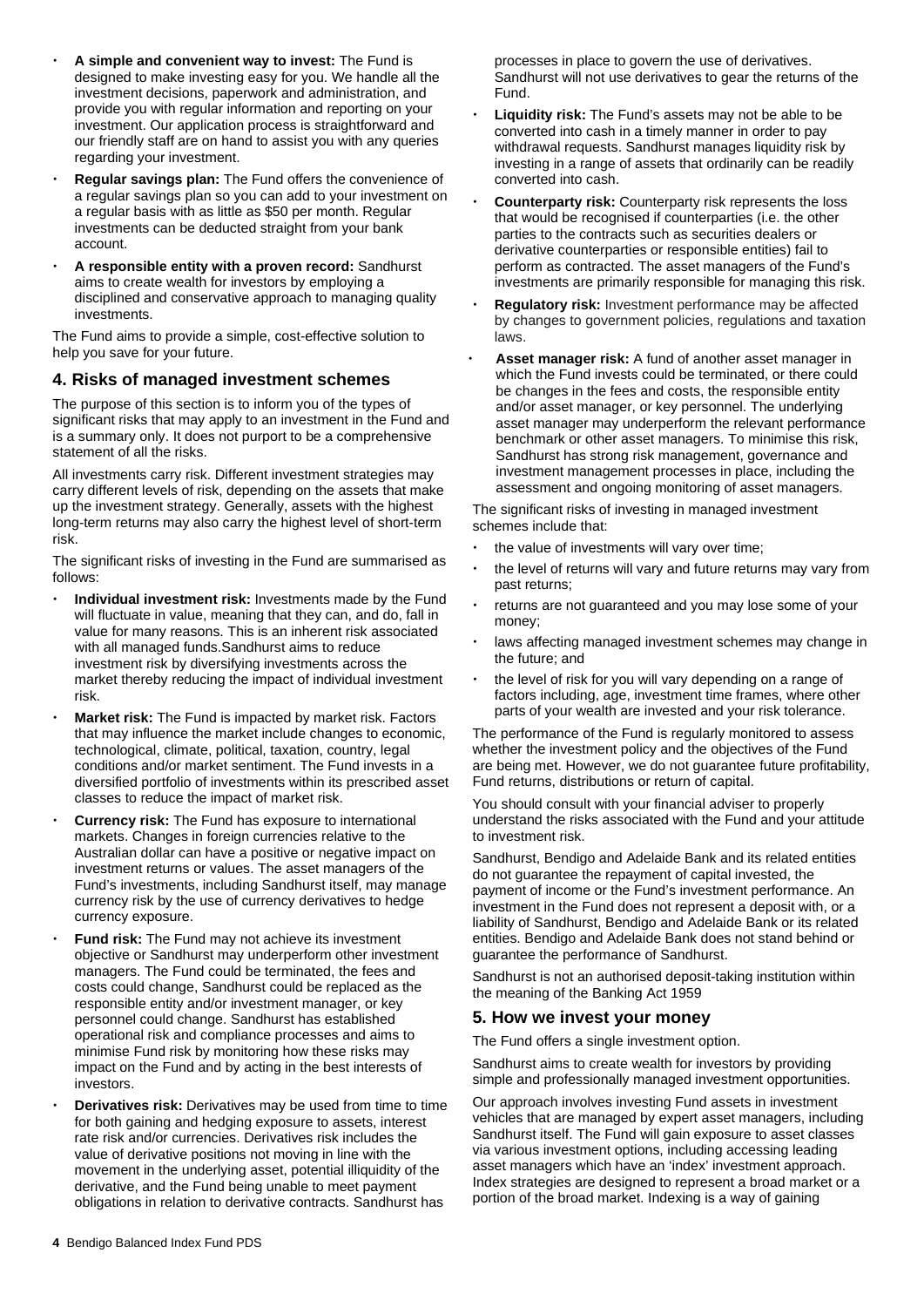- **A simple and convenient way to invest:** The Fund is designed to make investing easy for you. We handle all the investment decisions, paperwork and administration, and provide you with regular information and reporting on your investment. Our application process is straightforward and our friendly staff are on hand to assist you with any queries regarding your investment.
- **Regular savings plan:** The Fund offers the convenience of a regular savings plan so you can add to your investment on a regular basis with as little as \$50 per month. Regular investments can be deducted straight from your bank account.
- **A responsible entity with a proven record:** Sandhurst aims to create wealth for investors by employing a disciplined and conservative approach to managing quality investments.

The Fund aims to provide a simple, cost-effective solution to help you save for your future.

### **4. Risks of managed investment schemes**

The purpose of this section is to inform you of the types of significant risks that may apply to an investment in the Fund and is a summary only. It does not purport to be a comprehensive statement of all the risks.

All investments carry risk. Different investment strategies may carry different levels of risk, depending on the assets that make up the investment strategy. Generally, assets with the highest long-term returns may also carry the highest level of short-term risk.

The significant risks of investing in the Fund are summarised as follows:

- **Individual investment risk:** Investments made by the Fund will fluctuate in value, meaning that they can, and do, fall in value for many reasons. This is an inherent risk associated with all managed funds.Sandhurst aims to reduce investment risk by diversifying investments across the market thereby reducing the impact of individual investment risk.
- **Market risk:** The Fund is impacted by market risk. Factors that may influence the market include changes to economic, technological, climate, political, taxation, country, legal conditions and/or market sentiment. The Fund invests in a diversified portfolio of investments within its prescribed asset classes to reduce the impact of market risk.
- **Currency risk:** The Fund has exposure to international markets. Changes in foreign currencies relative to the Australian dollar can have a positive or negative impact on investment returns or values. The asset managers of the Fund's investments, including Sandhurst itself, may manage currency risk by the use of currency derivatives to hedge currency exposure.
- **Fund risk:** The Fund may not achieve its investment objective or Sandhurst may underperform other investment managers. The Fund could be terminated, the fees and costs could change, Sandhurst could be replaced as the responsible entity and/or investment manager, or key personnel could change. Sandhurst has established operational risk and compliance processes and aims to minimise Fund risk by monitoring how these risks may impact on the Fund and by acting in the best interests of investors.
- **Derivatives risk:** Derivatives may be used from time to time for both gaining and hedging exposure to assets, interest rate risk and/or currencies. Derivatives risk includes the value of derivative positions not moving in line with the movement in the underlying asset, potential illiquidity of the derivative, and the Fund being unable to meet payment obligations in relation to derivative contracts. Sandhurst has

processes in place to govern the use of derivatives. Sandhurst will not use derivatives to gear the returns of the Fund.

- **Liquidity risk:** The Fund's assets may not be able to be converted into cash in a timely manner in order to pay withdrawal requests. Sandhurst manages liquidity risk by investing in a range of assets that ordinarily can be readily converted into cash.
- **Counterparty risk:** Counterparty risk represents the loss that would be recognised if counterparties (i.e. the other parties to the contracts such as securities dealers or derivative counterparties or responsible entities) fail to perform as contracted. The asset managers of the Fund's investments are primarily responsible for managing this risk.
- **Regulatory risk:** Investment performance may be affected by changes to government policies, regulations and taxation laws.
- **Asset manager risk:** A fund of another asset manager in which the Fund invests could be terminated, or there could be changes in the fees and costs, the responsible entity and/or asset manager, or key personnel. The underlying asset manager may underperform the relevant performance benchmark or other asset managers. To minimise this risk, Sandhurst has strong risk management, governance and investment management processes in place, including the assessment and ongoing monitoring of asset managers.

The significant risks of investing in managed investment schemes include that:

- the value of investments will vary over time;
- the level of returns will vary and future returns may vary from past returns;
- returns are not guaranteed and you may lose some of your money;
- laws affecting managed investment schemes may change in the future; and
- the level of risk for you will vary depending on a range of factors including, age, investment time frames, where other parts of your wealth are invested and your risk tolerance.

The performance of the Fund is regularly monitored to assess whether the investment policy and the objectives of the Fund are being met. However, we do not guarantee future profitability, Fund returns, distributions or return of capital.

You should consult with your financial adviser to properly understand the risks associated with the Fund and your attitude to investment risk.

Sandhurst, Bendigo and Adelaide Bank and its related entities do not guarantee the repayment of capital invested, the payment of income or the Fund's investment performance. An investment in the Fund does not represent a deposit with, or a liability of Sandhurst, Bendigo and Adelaide Bank or its related entities. Bendigo and Adelaide Bank does not stand behind or guarantee the performance of Sandhurst.

Sandhurst is not an authorised deposit-taking institution within the meaning of the Banking Act 1959

### **5. How we invest your money**

The Fund offers a single investment option.

Sandhurst aims to create wealth for investors by providing simple and professionally managed investment opportunities.

Our approach involves investing Fund assets in investment vehicles that are managed by expert asset managers, including Sandhurst itself. The Fund will gain exposure to asset classes via various investment options, including accessing leading asset managers which have an 'index' investment approach. Index strategies are designed to represent a broad market or a portion of the broad market. Indexing is a way of gaining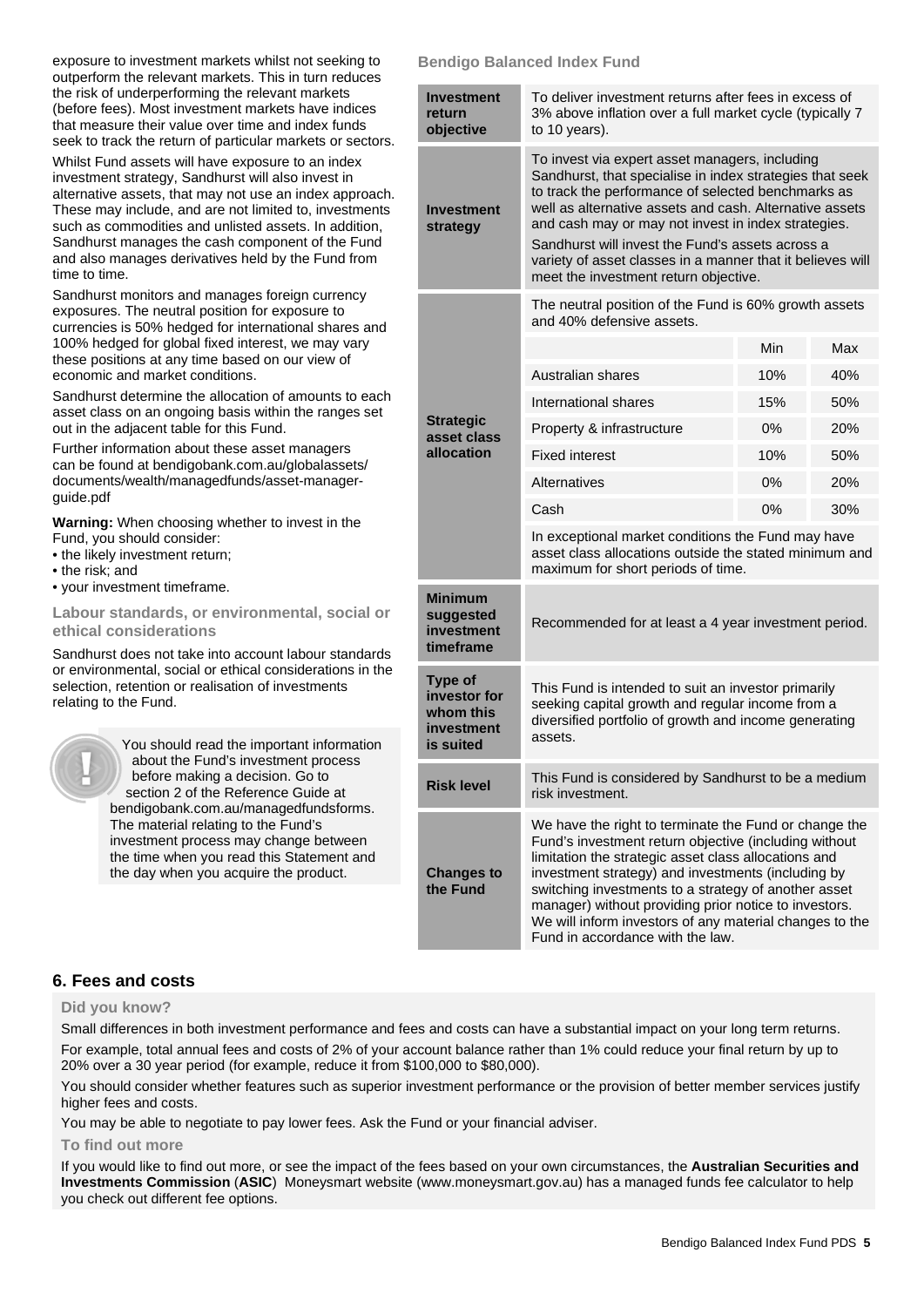exposure to investment markets whilst not seeking to outperform the relevant markets. This in turn reduces the risk of underperforming the relevant markets (before fees). Most investment markets have indices that measure their value over time and index funds seek to track the return of particular markets or sectors.

Whilst Fund assets will have exposure to an index investment strategy, Sandhurst will also invest in alternative assets, that may not use an index approach. These may include, and are not limited to, investments such as commodities and unlisted assets. In addition, Sandhurst manages the cash component of the Fund and also manages derivatives held by the Fund from time to time.

Sandhurst monitors and manages foreign currency exposures. The neutral position for exposure to currencies is 50% hedged for international shares and 100% hedged for global fixed interest, we may vary these positions at any time based on our view of economic and market conditions.

Sandhurst determine the allocation of amounts to each asset class on an ongoing basis within the ranges set out in the adjacent table for this Fund.

Further information about these asset managers can be found a[t bendigobank.com.au/globalassets/](https://www.bendigobank.com.au/globalassets/documents/wealth/managedfunds/asset-manager-guide.pdf)  [documents/wealth/managedfunds/asset-manager](https://www.bendigobank.com.au/globalassets/documents/wealth/managedfunds/asset-manager-guide.pdf)[guide.pdf](https://www.bendigobank.com.au/globalassets/documents/wealth/managedfunds/asset-manager-guide.pdf) 

**Warning:** When choosing whether to invest in the Fund, you should consider:

- the likely investment return;
- the risk; and
- your investment timeframe.

**Labour standards, or environmental, social or ethical considerations** 

Sandhurst does not take into account labour standards or environmental, social or ethical considerations in the selection, retention or realisation of investments relating to the Fund.



 You should read the important information about the Fund's investment process before making a decision. Go to section 2 of the Reference Guide at [bendigobank.com.au/managedfundsf](https://bendigobank.com.au/managedfundsforms)orms. The material relating to the Fund's

investment process may change between the time when you read this Statement and the day when you acquire the product.

# **Bendigo Balanced Index Fund**

| <b>Investment</b><br>return<br>objective                               | To deliver investment returns after fees in excess of<br>3% above inflation over a full market cycle (typically 7<br>to 10 years).                                                                                                                                                                                                                                                                                                            |     |     |  |
|------------------------------------------------------------------------|-----------------------------------------------------------------------------------------------------------------------------------------------------------------------------------------------------------------------------------------------------------------------------------------------------------------------------------------------------------------------------------------------------------------------------------------------|-----|-----|--|
| <b>Investment</b><br>strategy                                          | To invest via expert asset managers, including<br>Sandhurst, that specialise in index strategies that seek<br>to track the performance of selected benchmarks as<br>well as alternative assets and cash. Alternative assets<br>and cash may or may not invest in index strategies.<br>Sandhurst will invest the Fund's assets across a<br>variety of asset classes in a manner that it believes will<br>meet the investment return objective. |     |     |  |
|                                                                        | The neutral position of the Fund is 60% growth assets<br>and 40% defensive assets.                                                                                                                                                                                                                                                                                                                                                            |     |     |  |
|                                                                        |                                                                                                                                                                                                                                                                                                                                                                                                                                               | Min | Max |  |
| <b>Strategic</b><br>asset class                                        | Australian shares                                                                                                                                                                                                                                                                                                                                                                                                                             | 10% | 40% |  |
|                                                                        | International shares                                                                                                                                                                                                                                                                                                                                                                                                                          | 15% | 50% |  |
|                                                                        | Property & infrastructure                                                                                                                                                                                                                                                                                                                                                                                                                     | 0%  | 20% |  |
| allocation                                                             | <b>Fixed interest</b>                                                                                                                                                                                                                                                                                                                                                                                                                         | 10% | 50% |  |
|                                                                        | Alternatives                                                                                                                                                                                                                                                                                                                                                                                                                                  | 0%  | 20% |  |
|                                                                        | Cash                                                                                                                                                                                                                                                                                                                                                                                                                                          | 0%  | 30% |  |
|                                                                        | In exceptional market conditions the Fund may have<br>asset class allocations outside the stated minimum and<br>maximum for short periods of time.                                                                                                                                                                                                                                                                                            |     |     |  |
| <b>Minimum</b><br>suggested<br>investment<br>timeframe                 | Recommended for at least a 4 year investment period.                                                                                                                                                                                                                                                                                                                                                                                          |     |     |  |
| <b>Type of</b><br>investor for<br>whom this<br>investment<br>is suited | This Fund is intended to suit an investor primarily<br>seeking capital growth and regular income from a<br>diversified portfolio of growth and income generating<br>assets.                                                                                                                                                                                                                                                                   |     |     |  |
| <b>Risk level</b>                                                      | This Fund is considered by Sandhurst to be a medium<br>risk investment.                                                                                                                                                                                                                                                                                                                                                                       |     |     |  |
| <b>Changes to</b><br>the Fund                                          | We have the right to terminate the Fund or change the<br>Fund's investment return objective (including without<br>limitation the strategic asset class allocations and<br>investment strategy) and investments (including by<br>switching investments to a strategy of another asset<br>manager) without providing prior notice to investors.<br>We will inform investors of any material changes to the<br>Fund in accordance with the law.  |     |     |  |

# **6. Fees and costs**

### **Did you know?**

Small differences in both investment performance and fees and costs can have a substantial impact on your long term returns. For example, total annual fees and costs of 2% of your account balance rather than 1% could reduce your final return by up to

20% over a 30 year period (for example, reduce it from \$100,000 to \$80,000).

You should consider whether features such as superior investment performance or the provision of better member services justify higher fees and costs.

You may be able to negotiate to pay lower fees. Ask the Fund or your financial adviser.

### **To find out more**

If you would like to find out more, or see the impact of the fees based on your own circumstances, the **Australian Securities and Investments Commission** (**ASIC**) Moneysmart website (www[.moneysmart.gov.au\)](https://www.moneysmart.gov.au/) has a managed funds fee calculator to help you check out different fee options.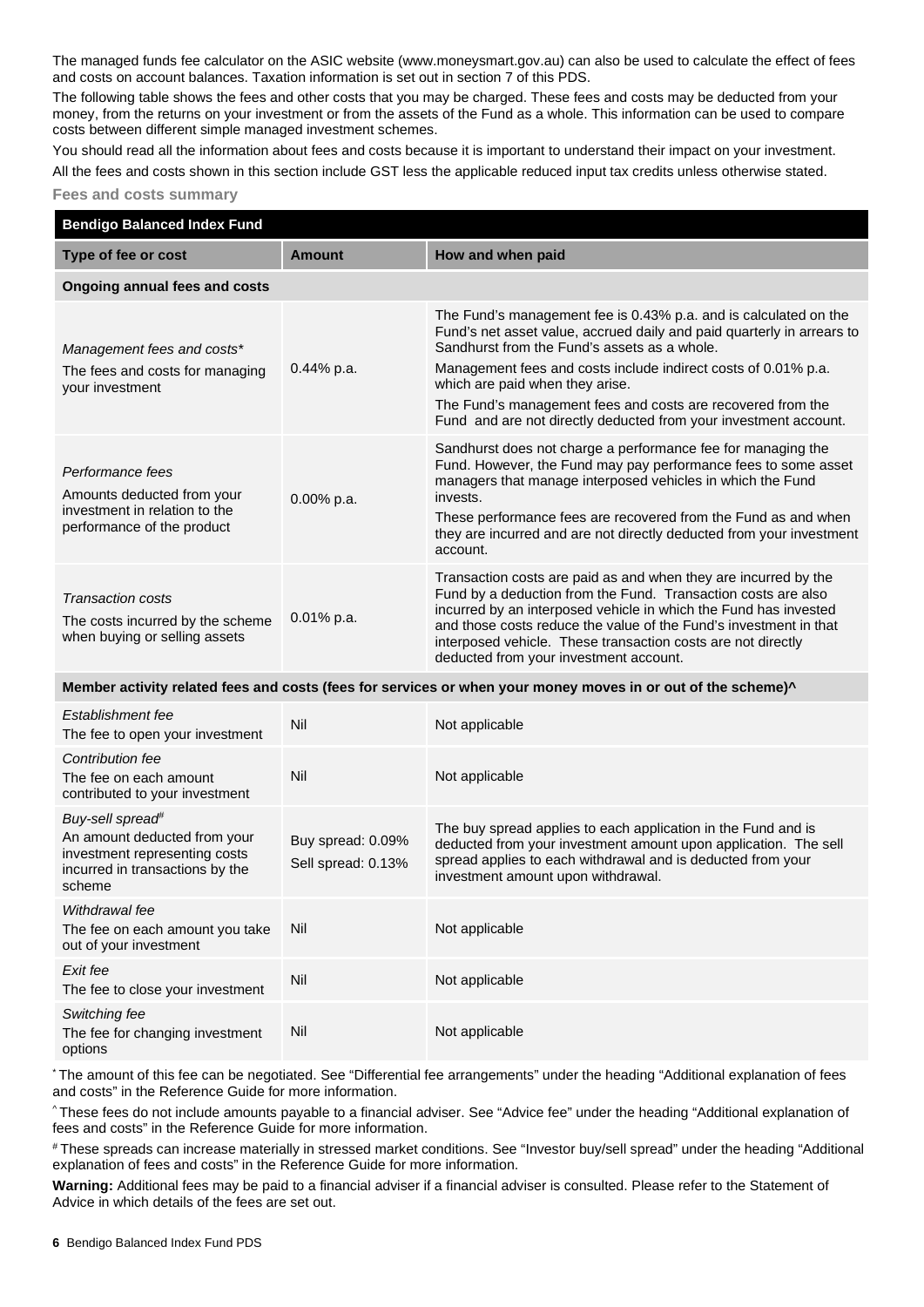The managed funds fee calculator on the ASIC website (ww[w.moneysmart.gov.au\)](https://www.moneysmart.gov.au/) can also be used to calculate the effect of fees and costs on account balances. Taxation information is set out in section 7 of this PDS.

The following table shows the fees and other costs that you may be charged. These fees and costs may be deducted from your money, from the returns on your investment or from the assets of the Fund as a whole. This information can be used to compare costs between different simple managed investment schemes.

You should read all the information about fees and costs because it is important to understand their impact on your investment. All the fees and costs shown in this section include GST less the applicable reduced input tax credits unless otherwise stated.

### **Fees and costs summary**

| <b>Bendigo Balanced Index Fund</b>                                                                                                         |                                         |                                                                                                                                                                                                                                                                                                                                                                                                                                    |  |  |  |
|--------------------------------------------------------------------------------------------------------------------------------------------|-----------------------------------------|------------------------------------------------------------------------------------------------------------------------------------------------------------------------------------------------------------------------------------------------------------------------------------------------------------------------------------------------------------------------------------------------------------------------------------|--|--|--|
| Type of fee or cost                                                                                                                        | <b>Amount</b>                           | How and when paid                                                                                                                                                                                                                                                                                                                                                                                                                  |  |  |  |
| Ongoing annual fees and costs                                                                                                              |                                         |                                                                                                                                                                                                                                                                                                                                                                                                                                    |  |  |  |
| Management fees and costs*<br>The fees and costs for managing<br>your investment                                                           | 0.44% p.a.                              | The Fund's management fee is 0.43% p.a. and is calculated on the<br>Fund's net asset value, accrued daily and paid quarterly in arrears to<br>Sandhurst from the Fund's assets as a whole.<br>Management fees and costs include indirect costs of 0.01% p.a.<br>which are paid when they arise.<br>The Fund's management fees and costs are recovered from the<br>Fund and are not directly deducted from your investment account. |  |  |  |
| Performance fees<br>Amounts deducted from your<br>investment in relation to the<br>performance of the product                              | 0.00% p.a.                              | Sandhurst does not charge a performance fee for managing the<br>Fund. However, the Fund may pay performance fees to some asset<br>managers that manage interposed vehicles in which the Fund<br>invests.<br>These performance fees are recovered from the Fund as and when<br>they are incurred and are not directly deducted from your investment<br>account.                                                                     |  |  |  |
| <b>Transaction costs</b><br>The costs incurred by the scheme<br>when buying or selling assets                                              | 0.01% p.a.                              | Transaction costs are paid as and when they are incurred by the<br>Fund by a deduction from the Fund. Transaction costs are also<br>incurred by an interposed vehicle in which the Fund has invested<br>and those costs reduce the value of the Fund's investment in that<br>interposed vehicle. These transaction costs are not directly<br>deducted from your investment account.                                                |  |  |  |
| Member activity related fees and costs (fees for services or when your money moves in or out of the scheme)^                               |                                         |                                                                                                                                                                                                                                                                                                                                                                                                                                    |  |  |  |
| Establishment fee<br>The fee to open your investment                                                                                       | Nil                                     | Not applicable                                                                                                                                                                                                                                                                                                                                                                                                                     |  |  |  |
| Contribution fee<br>The fee on each amount<br>contributed to your investment                                                               | Nil                                     | Not applicable                                                                                                                                                                                                                                                                                                                                                                                                                     |  |  |  |
| Buy-sell spread <sup>#</sup><br>An amount deducted from your<br>investment representing costs<br>incurred in transactions by the<br>scheme | Buy spread: 0.09%<br>Sell spread: 0.13% | The buy spread applies to each application in the Fund and is<br>deducted from your investment amount upon application. The sell<br>spread applies to each withdrawal and is deducted from your<br>investment amount upon withdrawal.                                                                                                                                                                                              |  |  |  |
| Withdrawal fee<br>The fee on each amount you take<br>out of your investment                                                                | Nil                                     | Not applicable                                                                                                                                                                                                                                                                                                                                                                                                                     |  |  |  |
| Exit fee<br>The fee to close your investment                                                                                               | Nil                                     | Not applicable                                                                                                                                                                                                                                                                                                                                                                                                                     |  |  |  |
| Switching fee<br>The fee for changing investment<br>options                                                                                | Nil                                     | Not applicable                                                                                                                                                                                                                                                                                                                                                                                                                     |  |  |  |

\* The amount of this fee can be negotiated. See "Differential fee arrangements" under the heading "Additional explanation of fees and costs" in the Reference Guide for more information.

^ These fees do not include amounts payable to a financial adviser. See "Advice fee" under the heading "Additional explanation of fees and costs" in the Reference Guide for more information.

# These spreads can increase materially in stressed market conditions. See "Investor buy/sell spread" under the heading "Additional explanation of fees and costs" in the Reference Guide for more information.

**Warning:** Additional fees may be paid to a financial adviser if a financial adviser is consulted. Please refer to the Statement of Advice in which details of the fees are set out.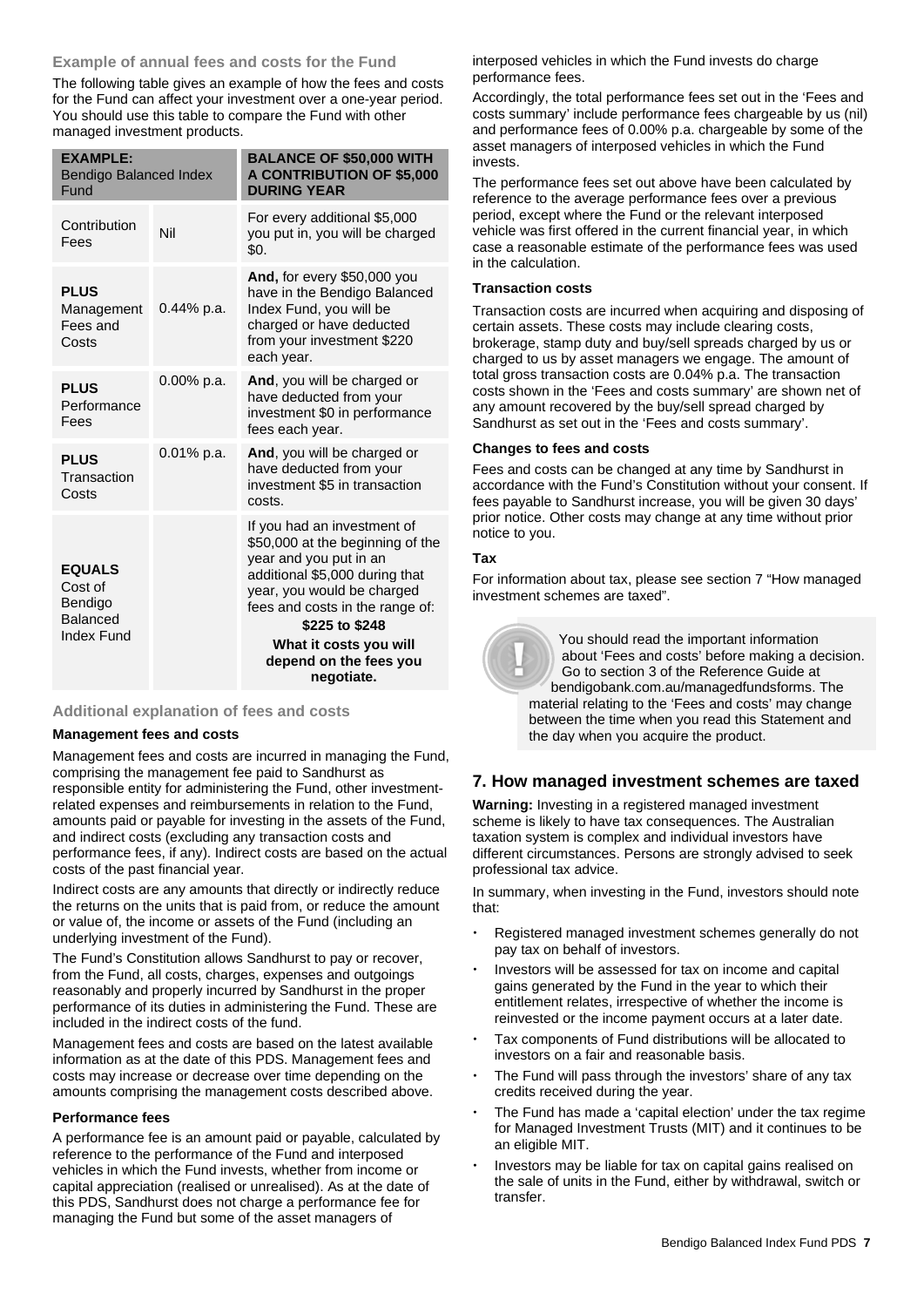### **Example of annual fees and costs for the Fund**

The following table gives an example of how the fees and costs for the Fund can affect your investment over a one-year period. You should use this table to compare the Fund with other managed investment products.

| <b>EXAMPLE:</b><br><b>Bendigo Balanced Index</b><br>Fund                    |               | <b>BALANCE OF \$50,000 WITH</b><br><b>A CONTRIBUTION OF \$5,000</b><br><b>DURING YEAR</b>                                                                                                                                                                                        |
|-----------------------------------------------------------------------------|---------------|----------------------------------------------------------------------------------------------------------------------------------------------------------------------------------------------------------------------------------------------------------------------------------|
| Contribution<br>Fees                                                        | Nil           | For every additional \$5,000<br>you put in, you will be charged<br>\$0.                                                                                                                                                                                                          |
| <b>PLUS</b><br>Management<br>Fees and<br>Costs                              | $0.44\%$ p.a. | <b>And, for every \$50,000 you</b><br>have in the Bendigo Balanced<br>Index Fund, you will be<br>charged or have deducted<br>from your investment \$220<br>each year.                                                                                                            |
| <b>PLUS</b><br>Performance<br>Fees                                          | $0.00\%$ p.a. | And, you will be charged or<br>have deducted from your<br>investment \$0 in performance<br>fees each year.                                                                                                                                                                       |
| <b>PLUS</b><br>Transaction<br>Costs                                         | $0.01\%$ p.a. | And, you will be charged or<br>have deducted from your<br>investment \$5 in transaction<br>costs.                                                                                                                                                                                |
| <b>EQUALS</b><br>Cost of<br>Bendigo<br><b>Balanced</b><br><b>Index Fund</b> |               | If you had an investment of<br>\$50,000 at the beginning of the<br>year and you put in an<br>additional \$5,000 during that<br>year, you would be charged<br>fees and costs in the range of:<br>\$225 to \$248<br>What it costs you will<br>depend on the fees you<br>negotiate. |

### **Additional explanation of fees and costs**

### **Management fees and costs**

Management fees and costs are incurred in managing the Fund, comprising the management fee paid to Sandhurst as responsible entity for administering the Fund, other investmentrelated expenses and reimbursements in relation to the Fund, amounts paid or payable for investing in the assets of the Fund, and indirect costs (excluding any transaction costs and performance fees, if any). Indirect costs are based on the actual costs of the past financial year.

Indirect costs are any amounts that directly or indirectly reduce the returns on the units that is paid from, or reduce the amount or value of, the income or assets of the Fund (including an underlying investment of the Fund).

The Fund's Constitution allows Sandhurst to pay or recover, from the Fund, all costs, charges, expenses and outgoings reasonably and properly incurred by Sandhurst in the proper performance of its duties in administering the Fund. These are included in the indirect costs of the fund.

Management fees and costs are based on the latest available information as at the date of this PDS. Management fees and costs may increase or decrease over time depending on the amounts comprising the management costs described above.

### **Performance fees**

A performance fee is an amount paid or payable, calculated by reference to the performance of the Fund and interposed vehicles in which the Fund invests, whether from income or capital appreciation (realised or unrealised). As at the date of this PDS, Sandhurst does not charge a performance fee for managing the Fund but some of the asset managers of

interposed vehicles in which the Fund invests do charge performance fees.

Accordingly, the total performance fees set out in the 'Fees and costs summary' include performance fees chargeable by us (nil) and performance fees of 0.00% p.a. chargeable by some of the asset managers of interposed vehicles in which the Fund invests.

The performance fees set out above have been calculated by reference to the average performance fees over a previous period, except where the Fund or the relevant interposed vehicle was first offered in the current financial year, in which case a reasonable estimate of the performance fees was used in the calculation.

### **Transaction costs**

Transaction costs are incurred when acquiring and disposing of certain assets. These costs may include clearing costs, brokerage, stamp duty and buy/sell spreads charged by us or charged to us by asset managers we engage. The amount of total gross transaction costs are 0.04% p.a. The transaction costs shown in the 'Fees and costs summary' are shown net of any amount recovered by the buy/sell spread charged by Sandhurst as set out in the 'Fees and costs summary'.

### **Changes to fees and costs**

Fees and costs can be changed at any time by Sandhurst in accordance with the Fund's Constitution without your consent. If fees payable to Sandhurst increase, you will be given 30 days' prior notice. Other costs may change at any time without prior notice to you.

### **Tax**

For information about tax, please see section 7 "How managed investment schemes are taxed".



 You should read the important information about 'Fees and costs' before making a decision. Go to section 3 of the Reference Guide at [bendigobank.com.au/managedfundsf](https://bendigobank.com.au/managedfundsforms)orms. The material relating to the 'Fees and costs' may change between the time when you read this Statement and the day when you acquire the product.

# **7. How managed investment schemes are taxed**

**Warning:** Investing in a registered managed investment scheme is likely to have tax consequences. The Australian taxation system is complex and individual investors have different circumstances. Persons are strongly advised to seek professional tax advice.

In summary, when investing in the Fund, investors should note that:

- Registered managed investment schemes generally do not pay tax on behalf of investors.
- Investors will be assessed for tax on income and capital gains generated by the Fund in the year to which their entitlement relates, irrespective of whether the income is reinvested or the income payment occurs at a later date.
- Tax components of Fund distributions will be allocated to investors on a fair and reasonable basis.
- The Fund will pass through the investors' share of any tax credits received during the year.
- The Fund has made a 'capital election' under the tax regime for Managed Investment Trusts (MIT) and it continues to be an eligible MIT.
- Investors may be liable for tax on capital gains realised on the sale of units in the Fund, either by withdrawal, switch or transfer.